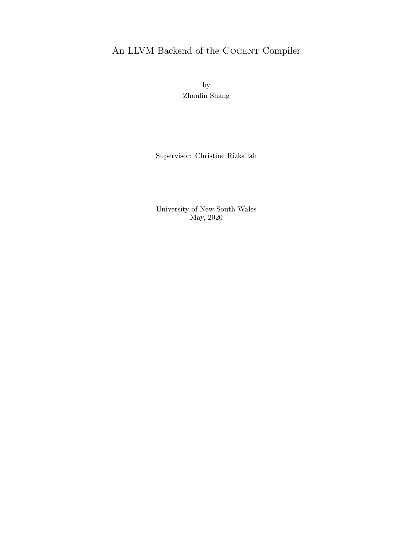## <span id="page-0-0"></span>An LLVM Backend of the COGENT Compiler

by Zhanlin Shang

Supervisor: Christine Rizkallah

University of New South Wales May, 2020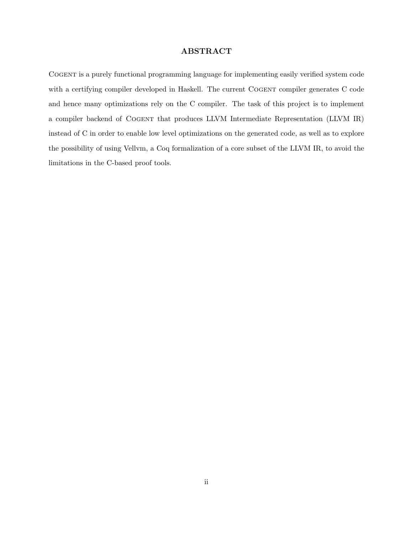#### ABSTRACT

Cogent is a purely functional programming language for implementing easily verified system code with a certifying compiler developed in Haskell. The current COGENT compiler generates C code and hence many optimizations rely on the C compiler. The task of this project is to implement a compiler backend of Cogent that produces LLVM Intermediate Representation (LLVM IR) instead of C in order to enable low level optimizations on the generated code, as well as to explore the possibility of using Vellvm, a Coq formalization of a core subset of the LLVM IR, to avoid the limitations in the C-based proof tools.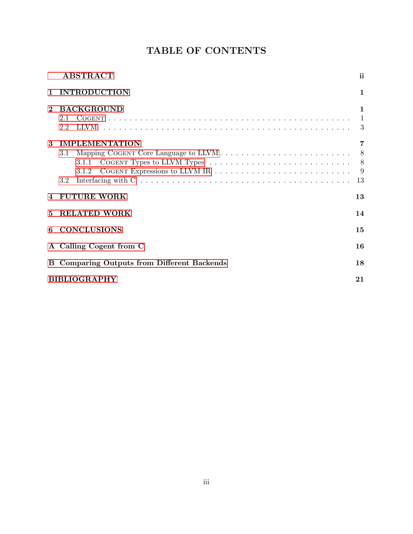# TABLE OF CONTENTS

|                            | ABSTRACT                                                                                                                                                                                                                                                      | ii                                  |  |  |  |
|----------------------------|---------------------------------------------------------------------------------------------------------------------------------------------------------------------------------------------------------------------------------------------------------------|-------------------------------------|--|--|--|
| $\mathbf{1}$               | <b>INTRODUCTION</b>                                                                                                                                                                                                                                           | $\mathbf{1}$                        |  |  |  |
| $\mathbf{2}$               | <b>BACKGROUND</b><br>2.1<br>2.2                                                                                                                                                                                                                               | $\mathbf{1}$<br>$\overline{1}$<br>3 |  |  |  |
| $\boldsymbol{\mathcal{S}}$ | <b>IMPLEMENTATION</b><br>3.1<br>COGENT Types to LLVM Types $\dots \dots \dots \dots \dots \dots \dots \dots \dots \dots$<br>3.1.1<br>3.1.2<br>Interfacing with $C \ldots \ldots \ldots \ldots \ldots \ldots \ldots \ldots \ldots \ldots \ldots \ldots$<br>3.2 | 7<br>13                             |  |  |  |
| $\overline{4}$             | <b>FUTURE WORK</b>                                                                                                                                                                                                                                            | 13                                  |  |  |  |
| 5                          | <b>RELATED WORK</b>                                                                                                                                                                                                                                           | 14                                  |  |  |  |
| 6                          | <b>CONCLUSIONS</b>                                                                                                                                                                                                                                            | 15                                  |  |  |  |
|                            | A Calling Cogent from C                                                                                                                                                                                                                                       | 16                                  |  |  |  |
|                            | <b>B</b> Comparing Outputs from Different Backends                                                                                                                                                                                                            | 18                                  |  |  |  |
|                            | <b>BIBLIOGRAPHY</b><br>21                                                                                                                                                                                                                                     |                                     |  |  |  |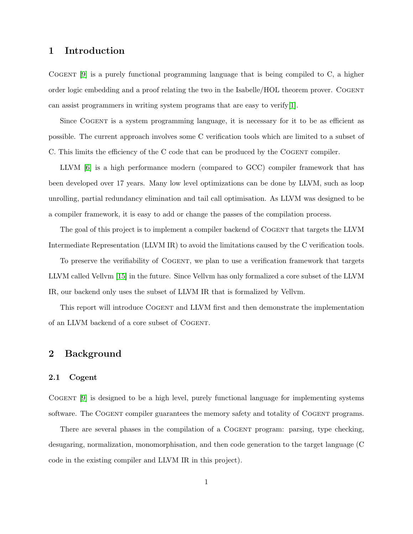### <span id="page-3-0"></span>1 Introduction

Cogent [\[9\]](#page-23-0) is a purely functional programming language that is being compiled to C, a higher order logic embedding and a proof relating the two in the Isabelle/HOL theorem prover. Cogent can assist programmers in writing system programs that are easy to verify[\[1\]](#page-23-1).

Since Cogent is a system programming language, it is necessary for it to be as efficient as possible. The current approach involves some C verification tools which are limited to a subset of C. This limits the efficiency of the C code that can be produced by the Cogent compiler.

LLVM [\[6\]](#page-23-2) is a high performance modern (compared to GCC) compiler framework that has been developed over 17 years. Many low level optimizations can be done by LLVM, such as loop unrolling, partial redundancy elimination and tail call optimisation. As LLVM was designed to be a compiler framework, it is easy to add or change the passes of the compilation process.

The goal of this project is to implement a compiler backend of COGENT that targets the LLVM Intermediate Representation (LLVM IR) to avoid the limitations caused by the C verification tools.

To preserve the verifiability of COGENT, we plan to use a verification framework that targets LLVM called Vellvm [\[15\]](#page-24-0) in the future. Since Vellvm has only formalized a core subset of the LLVM IR, our backend only uses the subset of LLVM IR that is formalized by Vellvm.

This report will introduce Cogent and LLVM first and then demonstrate the implementation of an LLVM backend of a core subset of Cogent.

### <span id="page-3-1"></span>2 Background

#### <span id="page-3-2"></span>2.1 Cogent

Cogent [\[9\]](#page-23-0) is designed to be a high level, purely functional language for implementing systems software. The COGENT compiler guarantees the memory safety and totality of COGENT programs.

There are several phases in the compilation of a COGENT program: parsing, type checking, desugaring, normalization, monomorphisation, and then code generation to the target language (C code in the existing compiler and LLVM IR in this project).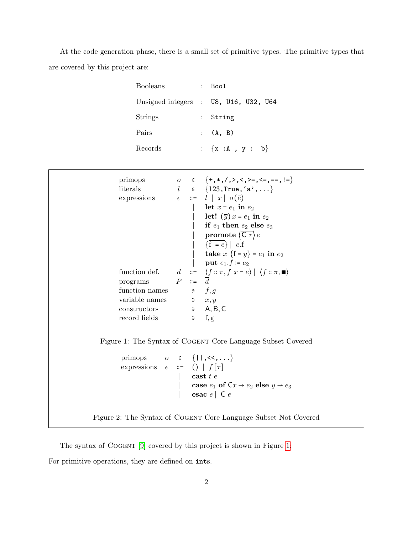At the code generation phase, there is a small set of primitive types. The primitive types that are covered by this project are:

| <b>Booleans</b> | : Bool                                                                               |
|-----------------|--------------------------------------------------------------------------------------|
|                 | Unsigned integers : $\sqrt{0.08}$ , $\sqrt{0.016}$ , $\sqrt{0.016}$ , $\sqrt{0.016}$ |
| <b>Strings</b>  | : String                                                                             |
| Pairs           | (A, B)                                                                               |
| Records         | : $\{x : A, y : b\}$                                                                 |

| primops<br>literals<br>programs $P ::= \overline{d}$<br>function names $\qquad \qquad \exists \qquad f,g$<br>variable names<br>$\qquad \qquad \Rightarrow \qquad x, y$<br>$\qquad \qquad \text{constructors}$ $\qquad \qquad \Rightarrow \qquad A, B, C$<br>record fields | 0 ∈ ${+, *, /, >, <, >=} , <=, ==, !=}$<br>$l \in \{123, \text{True}, \text{'a'}, \ldots\}$<br>expressions $e ::= l   x   o(\bar{e})$<br>  let $x = e_1$ in $e_2$<br>  let! $(\overline{y})x = e_1$ in $e_2$<br>  if $e_1$ then $e_2$ else $e_3$<br>  promote $\left\langle \overline{\mathsf{C}\,\tau}\right\rangle e$<br>$\left  \begin{array}{c} \sqrt{f} = e \end{array} \right  e.f$<br>  <b>take</b> $x \{f = y\} = e_1$ in $e_2$<br>  put $e_1.f := e_2$<br>function def. $d \ ::= \ \langle f :: \pi, f \ x = e \rangle \   \ \langle f :: \pi, \blacksquare \rangle$<br>$\Rightarrow$ f, g |
|---------------------------------------------------------------------------------------------------------------------------------------------------------------------------------------------------------------------------------------------------------------------------|-----------------------------------------------------------------------------------------------------------------------------------------------------------------------------------------------------------------------------------------------------------------------------------------------------------------------------------------------------------------------------------------------------------------------------------------------------------------------------------------------------------------------------------------------------------------------------------------------------|
|                                                                                                                                                                                                                                                                           | Figure 1: The Syntax of COGENT Core Language Subset Covered                                                                                                                                                                                                                                                                                                                                                                                                                                                                                                                                         |
| primops $o \in \{11, \langle \langle , \ldots \rangle \}$<br>expressions $e ::= ()   f[\overline{\tau}]$                                                                                                                                                                  | ast t e<br>case $e_1$ of $Cx \rightarrow e_2$ else $y \rightarrow e_3$<br>esac $e \mid C e$                                                                                                                                                                                                                                                                                                                                                                                                                                                                                                         |
|                                                                                                                                                                                                                                                                           | Figure 2: The Syntax of COGENT Core Language Subset Not Covered                                                                                                                                                                                                                                                                                                                                                                                                                                                                                                                                     |

<span id="page-4-1"></span><span id="page-4-0"></span>The syntax of COGENT [\[9\]](#page-23-0) covered by this project is shown in Figure [1:](#page-4-0)

For primitive operations, they are defined on ints.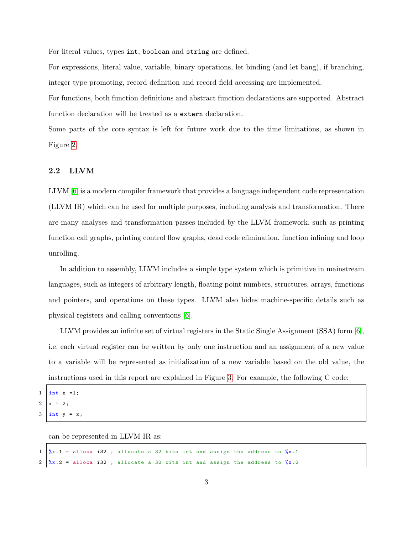For literal values, types int, boolean and string are defined.

For expressions, literal value, variable, binary operations, let binding (and let bang), if branching, integer type promoting, record definition and record field accessing are implemented.

For functions, both function definitions and abstract function declarations are supported. Abstract function declaration will be treated as a extern declaration.

Some parts of the core syntax is left for future work due to the time limitations, as shown in Figure [2.](#page-4-1)

#### <span id="page-5-0"></span>2.2 LLVM

LLVM [\[6\]](#page-23-2) is a modern compiler framework that provides a language independent code representation (LLVM IR) which can be used for multiple purposes, including analysis and transformation. There are many analyses and transformation passes included by the LLVM framework, such as printing function call graphs, printing control flow graphs, dead code elimination, function inlining and loop unrolling.

In addition to assembly, LLVM includes a simple type system which is primitive in mainstream languages, such as integers of arbitrary length, floating point numbers, structures, arrays, functions and pointers, and operations on these types. LLVM also hides machine-specific details such as physical registers and calling conventions [\[6\]](#page-23-2).

LLVM provides an infinite set of virtual registers in the Static Single Assignment (SSA) form [\[6\]](#page-23-2), i.e. each virtual register can be written by only one instruction and an assignment of a new value to a variable will be represented as initialization of a new variable based on the old value, the instructions used in this report are explained in Figure [3.](#page-6-0) For example, the following C code:

 $1$  | int  $x = 1$ ;  $2 | x = 2;$ 

 $3$  int  $y = x$ ;

can be represented in LLVM IR as:

 $1 \quad \frac{2}{3}x \cdot 1$  = alloca i32; allocate a 32 bits int and assign the address to  $\frac{2}{3}x \cdot 1$  $2 \frac{1}{x}$ . 2 = alloca i32; allocate a 32 bits int and assign the address to  $\frac{x}{x}$ .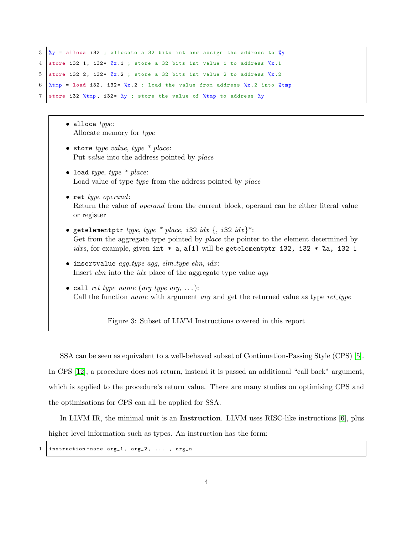```
3 \frac{1}{2} %y = alloca i32 ; allocate a 32 bits int and assign the address to %y
4 store i32 1, i32* \%x.1 ; store a 32 bits int value 1 to address \%x.15 store i32 2, i32* \frac{6}{2}. store a 32 bits int value 2 to address \frac{6}{2}.2
6 % * \frac{1}{2} \frac{1}{2} , i32* \frac{2}{2} ; load the value from address \frac{2}{2} .2 into \frac{2}{2} into
7 store i32 %tmp, i32* %y ; store the value of %tmp to address %y
```
- $\bullet$  alloca  $\mathit{type}$ : Allocate memory for type
- store type value, type  $*$  place: Put value into the address pointed by place
- load type, type  $*$  place: Load value of type *type* from the address pointed by *place*
- ret type operand: Return the value of operand from the current block, operand can be either literal value or register
- getelementptr type, type \* place, i32 idx {, i32 idx}\*: Get from the aggregate type pointed by *place* the pointer to the element determined by idxs, for example, given int  $* a$ , a[1] will be getelementptr i32, i32  $*$  %a, i32 1
- $\bullet$  insertvalue agg\_type agg, elm\_type elm, idx: Insert *elm* into the *idx* place of the aggregate type value *agg*
- <span id="page-6-0"></span>• call ret\_type name (arg\_type arg, ...): Call the function *name* with argument *arg* and get the returned value as type  $ret\_type$

Figure 3: Subset of LLVM Instructions covered in this report

SSA can be seen as equivalent to a well-behaved subset of Continuation-Passing Style (CPS) [\[5\]](#page-23-3). In CPS [\[12\]](#page-23-4), a procedure does not return, instead it is passed an additional "call back" argument, which is applied to the procedure's return value. There are many studies on optimising CPS and the optimisations for CPS can all be applied for SSA.

In LLVM IR, the minimal unit is an Instruction. LLVM uses RISC-like instructions [\[6\]](#page-23-2), plus higher level information such as types. An instruction has the form:

1 | instruction-name  $arg_1$ ,  $arg_2$ , ...,  $arg_n$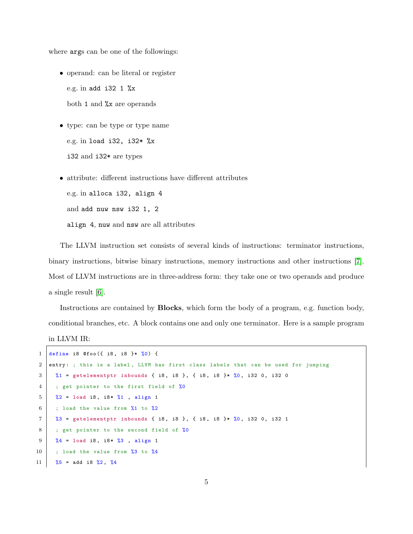where args can be one of the followings:

- operand: can be literal or register e.g. in add i32 1 %x both 1 and %x are operands
- type: can be type or type name e.g. in load i32, i32\* %x i32 and i32\* are types
- attribute: different instructions have different attributes

e.g. in alloca i32, align 4

and add nuw nsw i32 1, 2

align 4, nuw and nsw are all attributes

The LLVM instruction set consists of several kinds of instructions: terminator instructions, binary instructions, bitwise binary instructions, memory instructions and other instructions [\[7\]](#page-23-5). Most of LLVM instructions are in three-address form: they take one or two operands and produce a single result [\[6\]](#page-23-2).

Instructions are contained by Blocks, which form the body of a program, e.g. function body, conditional branches, etc. A block contains one and only one terminator. Here is a sample program

```
in LLVM IR:
```
 $\Gamma$ 

|                 | 1 define i8 @foo({ i8, i8 }* $\frac{9}{6}$ 0) {                                               |
|-----------------|-----------------------------------------------------------------------------------------------|
| $\overline{2}$  | entry: ; this is a label, LLVM has first class labels that can be used for jumping            |
| 3               | $\frac{9}{6}$ 1 = getelementptr inbounds { i8, i8 }, { i8, i8 }* $\frac{9}{6}$ , i32 0, i32 0 |
| $\overline{4}$  | ; get pointer to the first field of %0                                                        |
| 5 <sup>5</sup>  | $\frac{9}{2}$ = load i8, i8* $\frac{9}{4}$ , align 1                                          |
| -6              | ; load the value from $\frac{9}{1}$ to $\frac{9}{2}$                                          |
| $7\phantom{.0}$ | $\%3$ = getelementptr inbounds { i8, i8 }, { i8, i8 }* $\%0$ , i32 0, i32 1                   |
| 8               | ; get pointer to the second field of %0                                                       |
| -9              | $\sqrt[6]{4}$ = load i8, i8* $\sqrt[6]{3}$ , align 1                                          |
| 10              | ; load the value from $\frac{2}{3}$ to $\frac{2}{3}$                                          |
| 11              | $\frac{9}{6}$ = add i8 $\frac{9}{6}$ 2, $\frac{9}{6}$ 4                                       |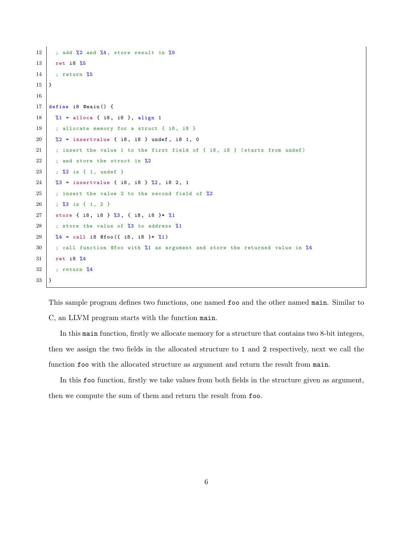```
12 ; add \frac{2}{12} and \frac{2}{14}, store result in \frac{2}{5}13 ret i8 %5
14 ; return %5
15 }
16
17 define i8 @main () {
18 \frac{1}{1} = alloca { i8, i8 }, align 1
19 ; allocate memory for a struct \{i8, i8\}20 \, | \, x_2 = insertvalue { i8, i8 } undef, i8 1, 0
21 ; insert the value 1 to the first field of \{ 18, 18 \} (starts from undef)
22 ; and store the struct in %2
23 ; %2 is { 1, undef }
24 \frac{1}{2} \frac{1}{2} \frac{1}{2} \frac{1}{2} \frac{1}{2} \frac{1}{2} \frac{1}{2} \frac{1}{2} \frac{1}{2} \frac{1}{2} \frac{1}{2} \frac{1}{2} \frac{1}{2} \frac{1}{2} \frac{1}{2} \frac{1}{2} \frac{1}{2} \frac{1}{2} \frac{1}{2} \frac{1}{2} \frac{1}{2} \frac{1}{25 ; insert the value 2 to the second field of \frac{2}{2}26 ; %3 is { 1 , 2 }
27 store { i8, i8 } \frac{2}{3}, { i8, i8 } \frac{1}{3}28 ; store the value of \frac{28}{10} to address \frac{21}{10}29 \frac{1}{4} = call i8 @foo ({ i8, i8 }* \frac{1}{4}1)
30 ; call function @foo with %1 as argument and store the returned value in %4
31 ret i8 %4
32 ; return %4
33 }
```
This sample program defines two functions, one named foo and the other named main. Similar to C, an LLVM program starts with the function main.

In this main function, firstly we allocate memory for a structure that contains two 8-bit integers, then we assign the two fields in the allocated structure to 1 and 2 respectively, next we call the function foo with the allocated structure as argument and return the result from main.

In this foo function, firstly we take values from both fields in the structure given as argument, then we compute the sum of them and return the result from foo.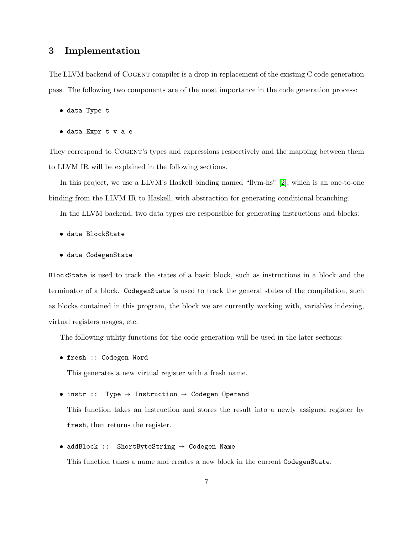## <span id="page-9-0"></span>3 Implementation

The LLVM backend of COGENT compiler is a drop-in replacement of the existing C code generation pass. The following two components are of the most importance in the code generation process:

- data Type t
- data Expr t v a e

They correspond to COGENT's types and expressions respectively and the mapping between them to LLVM IR will be explained in the following sections.

In this project, we use a LLVM's Haskell binding named "llvm-hs" [\[2\]](#page-23-6), which is an one-to-one binding from the LLVM IR to Haskell, with abstraction for generating conditional branching.

In the LLVM backend, two data types are responsible for generating instructions and blocks:

- data BlockState
- data CodegenState

BlockState is used to track the states of a basic block, such as instructions in a block and the terminator of a block. CodegenState is used to track the general states of the compilation, such as blocks contained in this program, the block we are currently working with, variables indexing, virtual registers usages, etc.

The following utility functions for the code generation will be used in the later sections:

• fresh :: Codegen Word

This generates a new virtual register with a fresh name.

#### • instr :: Type → Instruction → Codegen Operand

This function takes an instruction and stores the result into a newly assigned register by fresh, then returns the register.

#### • addBlock :: ShortByteString → Codegen Name

This function takes a name and creates a new block in the current CodegenState.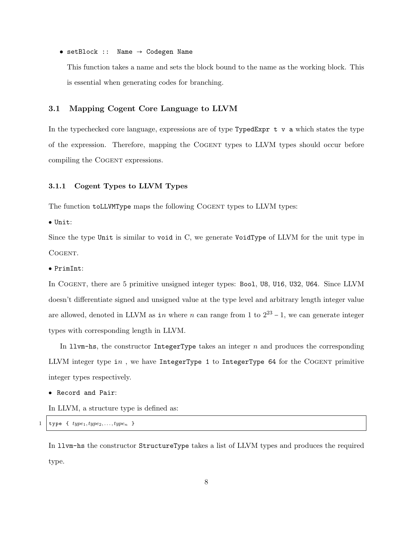• setBlock :: Name → Codegen Name

This function takes a name and sets the block bound to the name as the working block. This is essential when generating codes for branching.

#### <span id="page-10-0"></span>3.1 Mapping Cogent Core Language to LLVM

In the typechecked core language, expressions are of type  $Type E_{XPT} t v a$  which states the type of the expression. Therefore, mapping the Cogent types to LLVM types should occur before compiling the COGENT expressions.

#### <span id="page-10-1"></span>3.1.1 Cogent Types to LLVM Types

The function toLLVMType maps the following Cogent types to LLVM types:

● Unit:

Since the type Unit is similar to void in C, we generate VoidType of LLVM for the unit type in COGENT.

● PrimInt:

In COGENT, there are 5 primitive unsigned integer types: Bool, U8, U16, U32, U64. Since LLVM doesn't differentiate signed and unsigned value at the type level and arbitrary length integer value are allowed, denoted in LLVM as in where n can range from 1 to  $2^{23} - 1$ , we can generate integer types with corresponding length in LLVM.

In  $l_{\text{I}}$  luvm-hs, the constructor IntegerType takes an integer n and produces the corresponding LLVM integer type in, we have IntegerType 1 to IntegerType 64 for the COGENT primitive integer types respectively.

● Record and Pair:

In LLVM, a structure type is defined as:

```
type { type_1, type_2, \ldots, type_n }
```
In llvm-hs the constructor StructureType takes a list of LLVM types and produces the required type.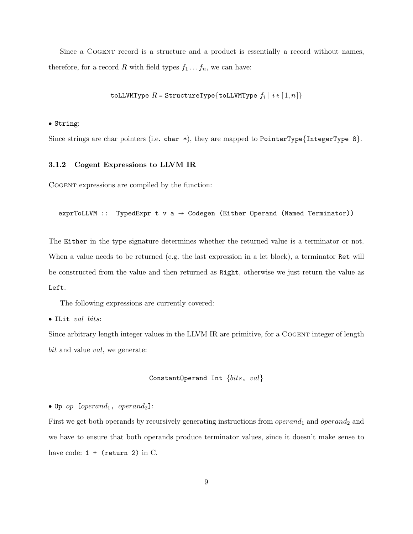Since a COGENT record is a structure and a product is essentially a record without names, therefore, for a record R with field types  $f_1 \ldots f_n$ , we can have:

#### toLLVMType  $R=$  StructureType $\{$ toLLVMType  $f_i\mid i\in[1,n]\}$

● String:

Since strings are char pointers (i.e. char  $\ast$ ), they are mapped to PointerType{IntegerType 8}.

#### <span id="page-11-0"></span>3.1.2 Cogent Expressions to LLVM IR

Cogent expressions are compiled by the function:

```
exprToLLVM :: TypedExpr t v a \rightarrow Codegen (Either Operand (Named Terminator))
```
The Either in the type signature determines whether the returned value is a terminator or not. When a value needs to be returned (e.g. the last expression in a let block), a terminator Ret will be constructed from the value and then returned as Right, otherwise we just return the value as Left.

The following expressions are currently covered:

● ILit val bits:

Since arbitrary length integer values in the LLVM IR are primitive, for a COGENT integer of length bit and value val, we generate:

```
ConstantOperand Int {bits, val}
```
• Op op  $[operand_1, operand_2]$ :

First we get both operands by recursively generating instructions from  $\emph{operand}_1$  and  $\emph{operand}_2$  and we have to ensure that both operands produce terminator values, since it doesn't make sense to have code:  $1 +$  (return 2) in C.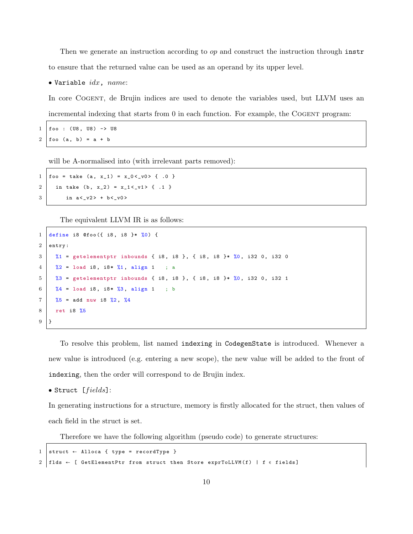Then we generate an instruction according to op and construct the instruction through instr to ensure that the returned value can be used as an operand by its upper level.

 $\bullet$  Variable  $idx$ , name:

In core Cogent, de Brujin indices are used to denote the variables used, but LLVM uses an incremental indexing that starts from  $0$  in each function. For example, the COGENT program:

 $1 \mid$  foo : (U8, U8) -> U8  $2 \mid \text{foo} \text{ (a, b)} = a + b$ 

will be A-normalised into (with irrelevant parts removed):

 $1 \mid \text{foo} = \text{take} \quad \text{(a, x_1)} = \text{x_0 < y0 > \{ .0 \} }$ 2 in take (b, x\_2) =  $x_1 < -v1 >$  { .1 } 3 in  $a < -v2$  +  $b < -v0$ 

The equivalent LLVM IR is as follows:

```
1 define i8 @foo({ i8, i8 }* %0) {
2 entry :
3 \mid X_1 = getelementptr inbounds { i8, i8 }, { i8, i8 }* %0, i32 0, i32 0
4 \mid \frac{\sqrt{2}}{2} = \text{load} \; \text{i8}, \; \text{i8} \cdot \frac{\sqrt{1}}{1}, \; \text{align} \; 1 \; ; \; \text{a}5 \begin{array}{|l} 5 \end{array} %3 = getelementptr inbounds { i8, i8 }, { i8, i8 }* %0, i32 0, i32 1
6 \frac{1}{6} \frac{1}{4} = load i8, i8* \frac{1}{6} align 1 ; b
7 \mid \frac{\%5}{\%5} = \text{add} nuw i8 \frac{\%2}{\%2}, \frac{\%4}{\%4}8 ret i8 %5
9 \mid \lambda
```
To resolve this problem, list named indexing in CodegenState is introduced. Whenever a new value is introduced (e.g. entering a new scope), the new value will be added to the front of indexing, then the order will correspond to de Brujin index.

 $\bullet$  Struct [ $fields$ ]:

In generating instructions for a structure, memory is firstly allocated for the struct, then values of each field in the struct is set.

Therefore we have the following algorithm (pseudo code) to generate structures:

```
1 struct \leftarrow Alloca { type = recordType }
2 | flds \leftarrow [ GetElementPtr from struct then Store exprToLLVM(f) | f \epsilon fields]
```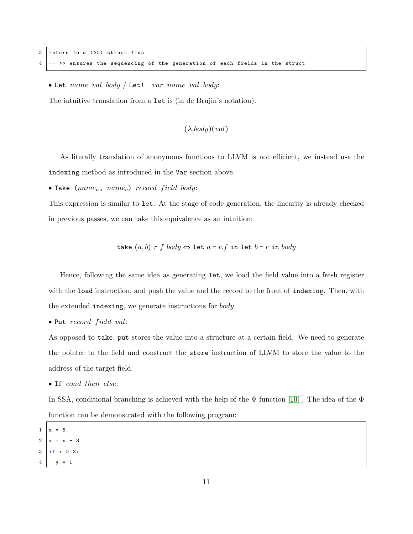$\bullet$  Let name val body / Let! var name val body:

The intuitive translation from a let is (in de Brujin's notation):

 $(\lambda \cdot body)(val)$ 

As literally translation of anonymous functions to LLVM is not efficient, we instead use the indexing method as introduced in the Var section above.

• Take ( $name_a$ ,  $name_b$ ) record field body:

This expression is similar to let. At the stage of code generation, the linearity is already checked in previous passes, we can take this equivalence as an intuition:

$$
\mathtt{take}\ (a,b)\ r\ f\ body \Leftrightarrow \mathtt{let}\ a=r.f\ \mathtt{in}\ \mathtt{let}\ b=r\ \mathtt{in}\ body
$$

Hence, following the same idea as generating let, we load the field value into a fresh register with the load instruction, and push the value and the record to the front of indexing. Then, with the extended indexing, we generate instructions for body.

 $\bullet$  Put record field val:

As opposed to take, put stores the value into a structure at a certain field. We need to generate the pointer to the field and construct the store instruction of LLVM to store the value to the address of the target field.

• If cond then else:

In SSA, conditional branching is achieved with the help of the  $\Phi$  function [\[10\]](#page-23-7). The idea of the  $\Phi$ function can be demonstrated with the following program:

- $1 \mid x = 5$
- $2 | x = x 3$
- 3 if x > 3:
- $4 \quad y = 1$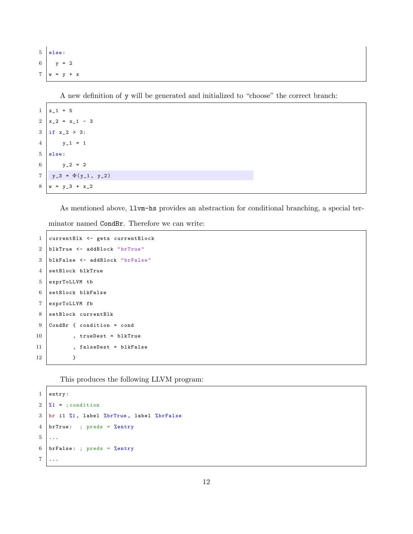$5$  else:  $6 \quad y = 2$  $7 \mid w = y + x$ 

A new definition of y will be generated and initialized to "choose" the correct branch:

```
1 | x_1 = 52 | x_2 = x_1 - 33 \mid if x_2 > 3:4 \quad y_1 = 15 else :
6 y_2 = 27 \mid y_3 = \Phi(y_1, y_2)8 \mid w = y_3 + x_2
```
As mentioned above, llvm-hs provides an abstraction for conditional branching, a special ter-

minator named CondBr. Therefore we can write:

```
1 currentBlk <- gets currentBlock
2 blkTrue <- addBlock " brTrue "
3 blkFalse <- addBlock " brFalse "
4 setBlock blkTrue
5 exprToLLVM tb
6 setBlock blkFalse
7 exprToLLVM fb
8 setBlock currentBlk
9 CondBr { condition = cond
10 | , trueDest = blkTrue
11 | , falseDest = blkFalse
12 }
```
This produces the following LLVM program:

```
1 entry :
2 \sqrt{1} =; condition
3 br i1 %1, label %brTrue, label %brFalse
4 brTrue: ; preds = %entry
5 \mid \ldots6 | brFalse: ; preds = \%entry
7 \ldots
```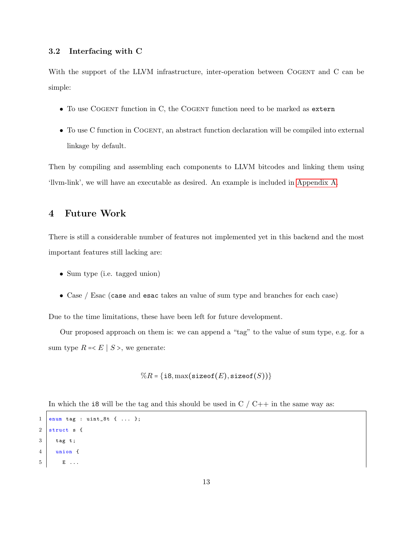#### <span id="page-15-0"></span>3.2 Interfacing with C

With the support of the LLVM infrastructure, inter-operation between COGENT and C can be simple:

- To use COGENT function in C, the COGENT function need to be marked as extern
- To use C function in COGENT, an abstract function declaration will be compiled into external linkage by default.

Then by compiling and assembling each components to LLVM bitcodes and linking them using 'llvm-link', we will have an executable as desired. An example is included in [Appendix A.](#page-18-0)

### <span id="page-15-1"></span>4 Future Work

There is still a considerable number of features not implemented yet in this backend and the most important features still lacking are:

- Sum type (i.e. tagged union)
- Case / Esac (case and esac takes an value of sum type and branches for each case)

Due to the time limitations, these have been left for future development.

Our proposed approach on them is: we can append a "tag" to the value of sum type, e.g. for a sum type  $R = E \mid S >$ , we generate:

$$
\%R = \{ \texttt{i8}, \max(\texttt{sizeof}(E), \texttt{sizeof}(S)) \}
$$

In which the i8 will be the tag and this should be used in  $C / C++$  in the same way as:

```
1 enum tag : uint_8t { ... };
2 struct s {
3 tag t;
4 union {
5 E ...
```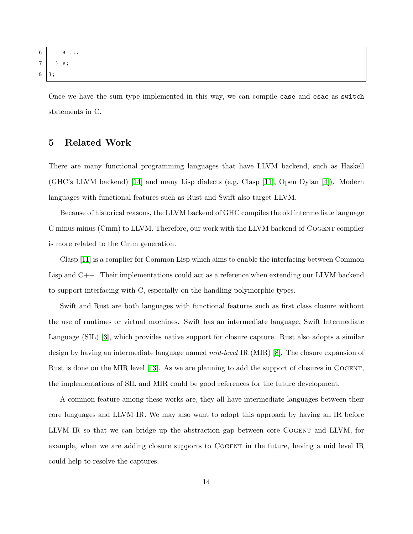```
6 S ...
7 } v;
8 };
```
Once we have the sum type implemented in this way, we can compile case and esac as switch statements in C.

## <span id="page-16-0"></span>5 Related Work

There are many functional programming languages that have LLVM backend, such as Haskell (GHC's LLVM backend) [\[14\]](#page-24-1) and many Lisp dialects (e.g. Clasp [\[11\]](#page-23-8), Open Dylan [\[4\]](#page-23-9)). Modern languages with functional features such as Rust and Swift also target LLVM.

Because of historical reasons, the LLVM backend of GHC compiles the old intermediate language C minus minus (Cmm) to LLVM. Therefore, our work with the LLVM backend of Cogent compiler is more related to the Cmm generation.

Clasp [\[11\]](#page-23-8) is a complier for Common Lisp which aims to enable the interfacing between Common Lisp and C++. Their implementations could act as a reference when extending our LLVM backend to support interfacing with C, especially on the handling polymorphic types.

Swift and Rust are both languages with functional features such as first class closure without the use of runtimes or virtual machines. Swift has an intermediate language, Swift Intermediate Language (SIL) [\[3\]](#page-23-10), which provides native support for closure capture. Rust also adopts a similar design by having an intermediate language named mid-level IR (MIR) [\[8\]](#page-23-11). The closure expansion of Rust is done on the MIR level [\[13\]](#page-24-2). As we are planning to add the support of closures in COGENT, the implementations of SIL and MIR could be good references for the future development.

A common feature among these works are, they all have intermediate languages between their core languages and LLVM IR. We may also want to adopt this approach by having an IR before LLVM IR so that we can bridge up the abstraction gap between core COGENT and LLVM, for example, when we are adding closure supports to COGENT in the future, having a mid level IR could help to resolve the captures.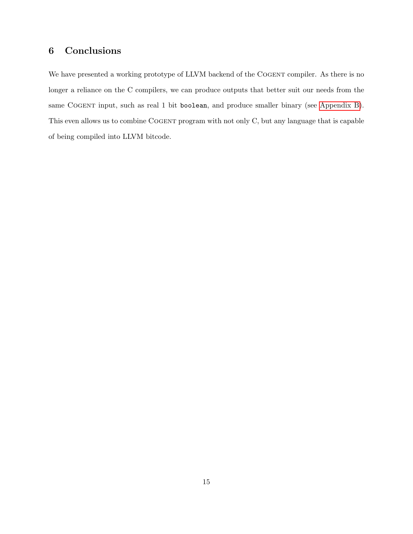## <span id="page-17-0"></span>6 Conclusions

We have presented a working prototype of LLVM backend of the COGENT compiler. As there is no longer a reliance on the C compilers, we can produce outputs that better suit our needs from the same COGENT input, such as real 1 bit boolean, and produce smaller binary (see [Appendix B\)](#page-20-0). This even allows us to combine COGENT program with not only C, but any language that is capable of being compiled into LLVM bitcode.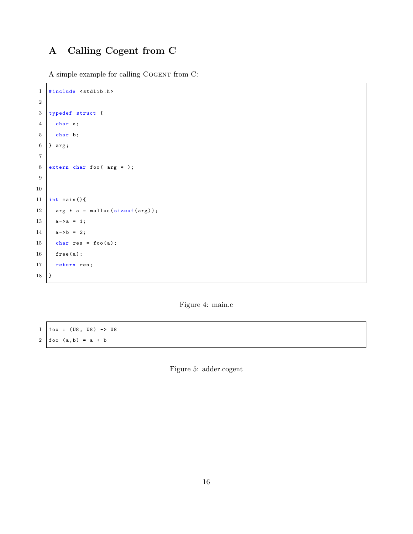## <span id="page-18-0"></span>A Calling Cogent from C

A simple example for calling COGENT from C:

```
1 #include <stdlib.h>
2
3 typedef struct {
4 char a;
5 char b;
6 } arg;
7
8 extern char foo (arg *);
9
10
11 | int main () {
12 \vert arg * a = malloc(sizeof(arg));
13 a->a = 1;
14 a->b = 2;
15 char res = foo(a);
16 free (a);
17 return res;
18 }
```
Figure 4: main.c

 $1 \mid$  foo : (U8, U8) -> U8  $2 \mid f \circ \circ (a, b) = a + b$ 

Figure 5: adder.cogent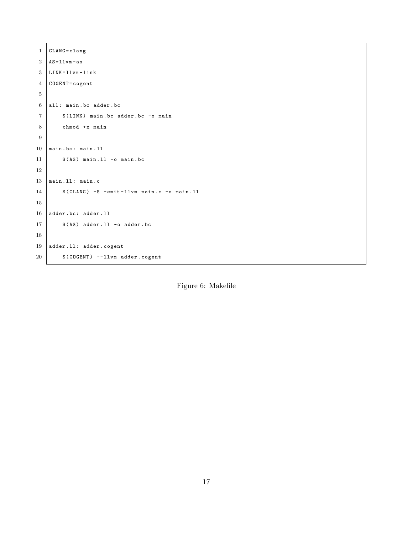```
1 CLANG = clang
2 AS = 11vm - as3 LINK=11vm-1ink
4 COGENT=cogent
5
6 all: main.bc adder.bc
7 | $(LINK) main.bc adder.bc -o main
8 chmod +x main
9
10 main.bc: main.ll
11 \frac{1}{\sqrt{2}} $ (AS) main. 11 -o main. bc
12
13 main. 11: main. c
14 $ (CLANG) -S -emit-llvm main.c -o main.ll
15
16 adder.bc: adder.11
17 $ (AS) adder. 11 -o adder. bc
18
19 adder.11: adder.cogent
20 | $ (COGENT) --llvm adder.cogent
```
Figure 6: Makefile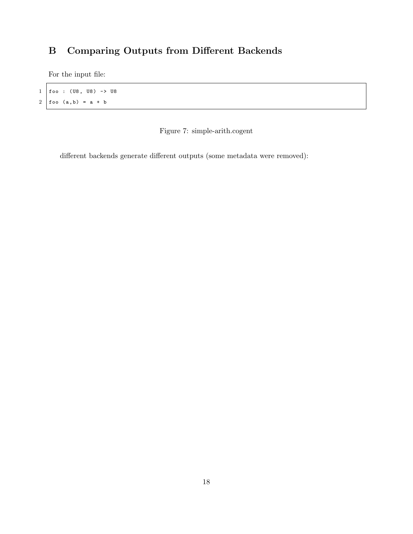## <span id="page-20-0"></span>B Comparing Outputs from Different Backends

For the input file:

 $1 \mid$  foo : (U8, U8) -> U8  $2 \mid f \circ \circ (a, b) = a + b$ 

Figure 7: simple-arith.cogent

different backends generate different outputs (some metadata were removed):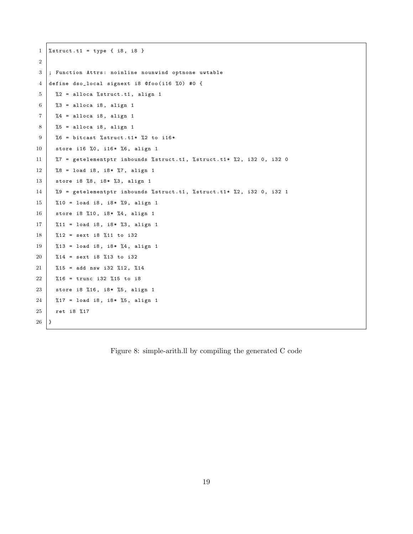```
1 \ \frac{\% \text{struct} \cdot t1 = \text{type} \{ i8, i8 \}}{2
 3 ; Function Attrs: noinline nounwind optnone uwtable
 4 define dso_local signext i8 @foo(i16 %0) #0 {
 5 \frac{2}{10} \frac{2}{10} = alloca \frac{2}{10} struct.t1, align 1
 6 %3 = alloca i8, align 1
 7 \mid %4 = \text{alloca i8, align 1}8 %5 = alloca i8, align 1
 9 \mid %6 = \text{bitcast } %5 \text{true} + 1* %2 = \text{bitcast } %6 \text{true} + \text{unit} + \text{unit} + \text{unit} + \text{unit} + \text{unit} + \text{unit} + \text{unit} + \text{unit} + \text{unit} + \text{unit} + \text{unit} + \text{unit} + \text{unit} + \text{unit} + \text{unit} + \text{unit} + \text{unit} + \text{unit} + \text{unit} + \text{unit} + \text{unit} + \text{unit} + \text{unit} + \text{unit} + \text{unit} + \text{unit} + \text{unit} + \text{unit} + \text{unit} + \text{unit} +10 store i16 %0, i16* %6, align 1
11 | %7 = getelementptr inbounds % struct.t1, % struct.t1* %2, i32 0, i32 0
12 \mid %8 = load i8, i8 * %7, allign 113 store i8 %8, i8* %3, align 1
14 \%9 = getelementptr inbounds % struct.t1, % struct.t1* %2, i32 0, i32 1
15 %10 = load i8, i8* %9, align 1
16 store i8 %10, i8* %4, align 1
17 %11 = load i8, i8* %3, align 1
18 %12 = sext i8 %11 to i32
19 %13 = load i8, i8* %4, align 1
20 \, %14 = sext i8 %13 to i32
21 \frac{1}{21} %15 = add nsw i32 %12, %14
22 \frac{20}{16} = trunc i32 %15 to i8
23 store i8 %16, i8* %5, align 1
24 \frac{1}{24} \frac{1}{27} = load i8, i8* %5, align 1
25 ret i8 %17
26 }
```
Figure 8: simple-arith.ll by compiling the generated C code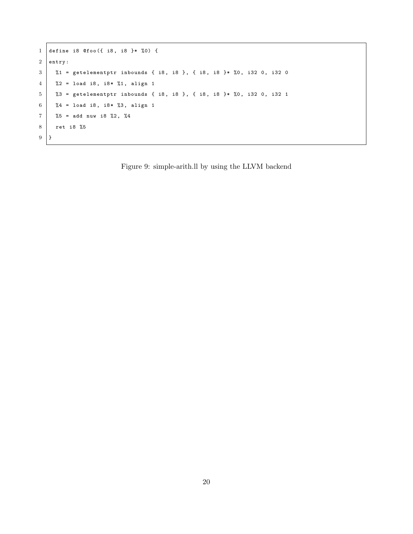```
1 define i8 @foo ({ i8, i8 }* %0) {
2 entry :
3 \begin{array}{|l} \n\begin{array}{l} \n\begin{array}{l} \n\begin{array}{l} \n\begin{array}{l} \n\begin{array}{l} \n\begin{array}{l} \n\begin{array}{l} \n\end{array} \n\end{array} & \n\end{array} & \n\end{array} & \n\begin{array}{c} \n\begin{array}{l} \n\begin{array}{l} \n\begin{array}{l} \n\begin{array}{l} \n\begin{array}{l} \n\end{array} & \n\end{array} & \n\end{array} & \n\end{array} & \n\begin{array}{l} \n\begin{array}{l} \n\begin{array}{l} \4 \mid %2 = load i8, i8 * %1, align 15 %3 = getelementptr inbounds { i8, i8 }, { i8, i8 }* %0, i32 0, i32 1
6 \frac{2}{4} = load i8, i8* %3, align 1
7 \mid \%5 = add nuw i8 %2, %48 ret i8 %5
9 }
```
<span id="page-22-0"></span>Figure 9: simple-arith.ll by using the LLVM backend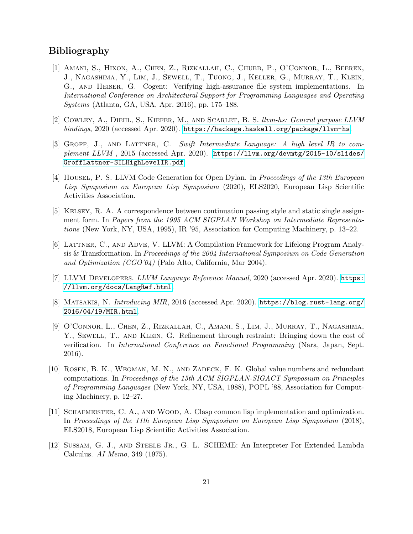## Bibliography

- <span id="page-23-1"></span>[1] Amani, S., Hixon, A., Chen, Z., Rizkallah, C., Chubb, P., O'Connor, L., Beeren, J., Nagashima, Y., Lim, J., Sewell, T., Tuong, J., Keller, G., Murray, T., Klein, G., and Heiser, G. Cogent: Verifying high-assurance file system implementations. In International Conference on Architectural Support for Programming Languages and Operating Systems (Atlanta, GA, USA, Apr. 2016), pp. 175–188.
- <span id="page-23-6"></span>[2] Cowley, A., Diehl, S., Kiefer, M., and Scarlet, B. S. llvm-hs: General purpose LLVM bindings, 2020 (accessed Apr. 2020). <https://hackage.haskell.org/package/llvm-hs>.
- <span id="page-23-10"></span>[3] GROFF, J., AND LATTNER, C. Swift Intermediate Language: A high level IR to complement LLVM , 2015 (accessed Apr. 2020). [https://llvm.org/devmtg/2015-10/slides/](https://llvm.org/devmtg/2015-10/slides/GroffLattner-SILHighLevelIR.pdf) [GroffLattner-SILHighLevelIR.pdf](https://llvm.org/devmtg/2015-10/slides/GroffLattner-SILHighLevelIR.pdf).
- <span id="page-23-9"></span>[4] Housel, P. S. LLVM Code Generation for Open Dylan. In Proceedings of the 13th European Lisp Symposium on European Lisp Symposium (2020), ELS2020, European Lisp Scientific Activities Association.
- <span id="page-23-3"></span>[5] Kelsey, R. A. A correspondence between continuation passing style and static single assignment form. In Papers from the 1995 ACM SIGPLAN Workshop on Intermediate Representations (New York, NY, USA, 1995), IR '95, Association for Computing Machinery, p. 13–22.
- <span id="page-23-2"></span>[6] Lattner, C., and Adve, V. LLVM: A Compilation Framework for Lifelong Program Analysis & Transformation. In Proceedings of the 2004 International Symposium on Code Generation and Optimization (CGO'04) (Palo Alto, California, Mar 2004).
- <span id="page-23-5"></span>[7] LLVM DEVELOPERS. LLVM Langauge Reference Manual, 2020 (accessed Apr. 2020). [https:](https://llvm.org/docs/LangRef.html) [//llvm.org/docs/LangRef.html](https://llvm.org/docs/LangRef.html).
- <span id="page-23-11"></span>[8] Matsakis, N. Introducing MIR, 2016 (accessed Apr. 2020). [https://blog.rust-lang.org/](https://blog.rust-lang.org/2016/04/19/MIR.html) [2016/04/19/MIR.html](https://blog.rust-lang.org/2016/04/19/MIR.html).
- <span id="page-23-0"></span>[9] O'Connor, L., Chen, Z., Rizkallah, C., Amani, S., Lim, J., Murray, T., Nagashima, Y., SEWELL, T., AND KLEIN, G. Refinement through restraint: Bringing down the cost of verification. In International Conference on Functional Programming (Nara, Japan, Sept. 2016).
- <span id="page-23-7"></span>[10] Rosen, B. K., Wegman, M. N., and Zadeck, F. K. Global value numbers and redundant computations. In Proceedings of the 15th ACM SIGPLAN-SIGACT Symposium on Principles of Programming Languages (New York, NY, USA, 1988), POPL '88, Association for Computing Machinery, p. 12–27.
- <span id="page-23-8"></span>[11] Schafmeister, C. A., and Wood, A. Clasp common lisp implementation and optimization. In Proceedings of the 11th European Lisp Symposium on European Lisp Symposium (2018), ELS2018, European Lisp Scientific Activities Association.
- <span id="page-23-4"></span>[12] SUSSAM, G. J., AND STEELE JR., G. L. SCHEME: An Interpreter For Extended Lambda Calculus. AI Memo, 349 (1975).